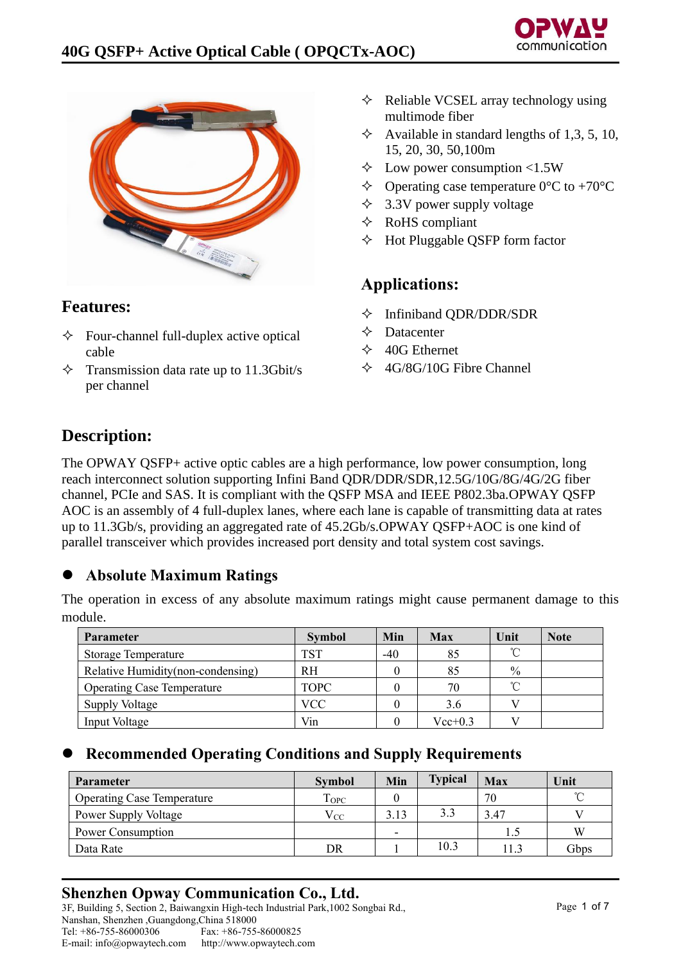



## **Features:**

- $\Diamond$  Four-channel full-duplex active optical cable
- $\Diamond$  Transmission data rate up to 11.3Gbit/s per channel
- $\Diamond$  Reliable VCSEL array technology using multimode fiber
- $\Diamond$  Available in standard lengths of 1,3, 5, 10, 15, 20, 30, 50,100m
- $\div$  Low power consumption <1.5W
- $\triangle$  Operating case temperature 0°C to +70°C
- $\div$  3.3V power supply voltage
- RoHS compliant
- $\Diamond$  Hot Pluggable QSFP form factor

# **Applications:**

- $\Diamond$  Infiniband QDR/DDR/SDR
- $\triangle$  Datacenter
- $\div$  40G Ethernet
- $\div$  4G/8G/10G Fibre Channel

# **Description:**

The OPWAY QSFP+ active optic cables are a high performance, low power consumption, long reach interconnect solution supporting Infini Band QDR/DDR/SDR,12.5G/10G/8G/4G/2G fiber channel, PCIe and SAS. It is compliant with the QSFP MSA and IEEE P802.3ba.OPWAY QSFP AOC is an assembly of 4 full-duplex lanes, where each lane is capable of transmitting data at rates up to 11.3Gb/s, providing an aggregated rate of 45.2Gb/s.OPWAY QSFP+AOC is one kind of parallel transceiver which provides increased port density and total system cost savings.

## ⚫ **Absolute Maximum Ratings**

| <b>Parameter</b>                   | <b>Symbol</b> | Min   | <b>Max</b>  | Unit | <b>Note</b> |
|------------------------------------|---------------|-------|-------------|------|-------------|
| Storage Temperature                | TST           | $-40$ | 85          | °C   |             |
| Relative Humidity (non-condensing) | <b>RH</b>     |       | 85          | $\%$ |             |
| <b>Operating Case Temperature</b>  | <b>TOPC</b>   |       | 70          | °C   |             |
| <b>Supply Voltage</b>              | <b>VCC</b>    |       | 3.6         |      |             |
| Input Voltage                      | Vin           |       | $Vec{+}0.3$ |      |             |

The operation in excess of any absolute maximum ratings might cause permanent damage to this module.

### ⚫ **Recommended Operating Conditions and Supply Requirements**

| <b>Parameter</b>                  | <b>Symbol</b>           | Min                      | <b>Typical</b> | Max  | Unit       |
|-----------------------------------|-------------------------|--------------------------|----------------|------|------------|
| <b>Operating Case Temperature</b> | <b>T</b> <sub>OPC</sub> |                          |                | 70   | $^{\circ}$ |
| Power Supply Voltage              | $\rm V_{CC}$            | 3.13                     | 3.3            | 3.47 |            |
| Power Consumption                 |                         | $\overline{\phantom{0}}$ |                |      | W          |
| Data Rate                         | DR                      |                          | 10.3           | 11.3 | Gbps       |

## **Shenzhen Opway Communication Co., Ltd.**

3F, Building 5, Section 2, Baiwangxin High-tech Industrial Park,1002 Songbai Rd., Nanshan, Shenzhen ,Guangdong,China 518000<br>Tel: +86-755-86000306 Fax: +86-755 Fax: +86-755-86000825 E-mail: info@opwaytech.com http://www.opwaytech.com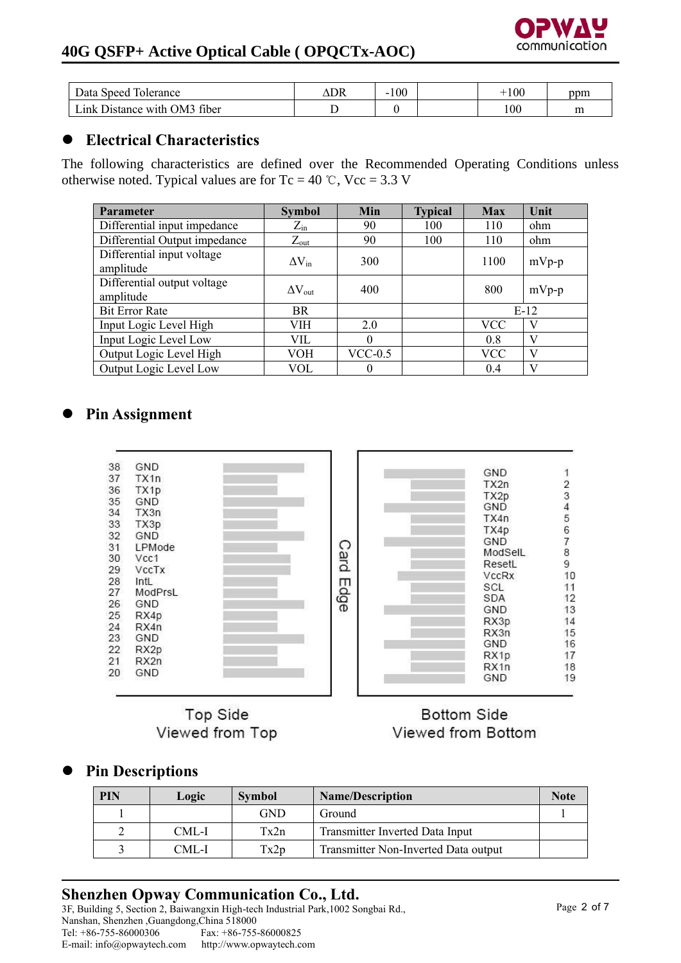

## **40G QSFP+ Active Optical Cable ( OPQCTx-AOC)**

| Data Speed<br>Tolerance           | DR | 100<br>- | 100             | ppm |
|-----------------------------------|----|----------|-----------------|-----|
| Distance with OM3 fiber<br>Link I |    |          | $\overline{00}$ | m   |

## ⚫ **Electrical Characteristics**

The following characteristics are defined over the Recommended Operating Conditions unless otherwise noted. Typical values are for Tc = 40 °C, Vcc = 3.3 V

| <b>Parameter</b>                         | <b>Symbol</b>    | Min       | <b>Typical</b> | <b>Max</b> | Unit    |
|------------------------------------------|------------------|-----------|----------------|------------|---------|
| Differential input impedance             | $Z_{\rm in}$     | 90        | 100            | 110        | ohm     |
| Differential Output impedance            | $Z_{\text{out}}$ | 90        | 100            | 110        | ohm     |
| Differential input voltage<br>amplitude  | $\Delta V_{in}$  | 300       |                | 1100       | $mVp-p$ |
| Differential output voltage<br>amplitude | $\Delta V_{out}$ | 400       |                | 800        | $mVp-p$ |
| <b>Bit Error Rate</b>                    | <b>BR</b>        |           |                |            | $E-12$  |
| Input Logic Level High                   | VIH              | 2.0       |                | VCC        | V       |
| Input Logic Level Low                    | VIL.             | 0         |                | 0.8        | V       |
| Output Logic Level High                  | VOH              | $VCC-0.5$ |                | <b>VCC</b> | V       |
| Output Logic Level Low                   | VOL              | 0         |                | 0.4        | V       |

## ⚫ **Pin Assignment**



**Top Side** Viewed from Top

### **Bottom Side** Viewed from Bottom

## ⚫ **Pin Descriptions**

| <b>PIN</b> | Logic | <b>Symbol</b> | <b>Name/Description</b>              | <b>Note</b> |
|------------|-------|---------------|--------------------------------------|-------------|
|            |       | <b>GND</b>    | Ground                               |             |
|            | CML-I | Tx2n          | Transmitter Inverted Data Input      |             |
|            | CML-I | Tx2p          | Transmitter Non-Inverted Data output |             |

# **Shenzhen Opway Communication Co., Ltd.**

3F, Building 5, Section 2, Baiwangxin High-tech Industrial Park,1002 Songbai Rd., Nanshan, Shenzhen ,Guangdong,China 518000 Tel: +86-755-86000306<br>E-mail: info@opwaytech.com http://www.opwaytech.com E-mail: info@opwaytech.com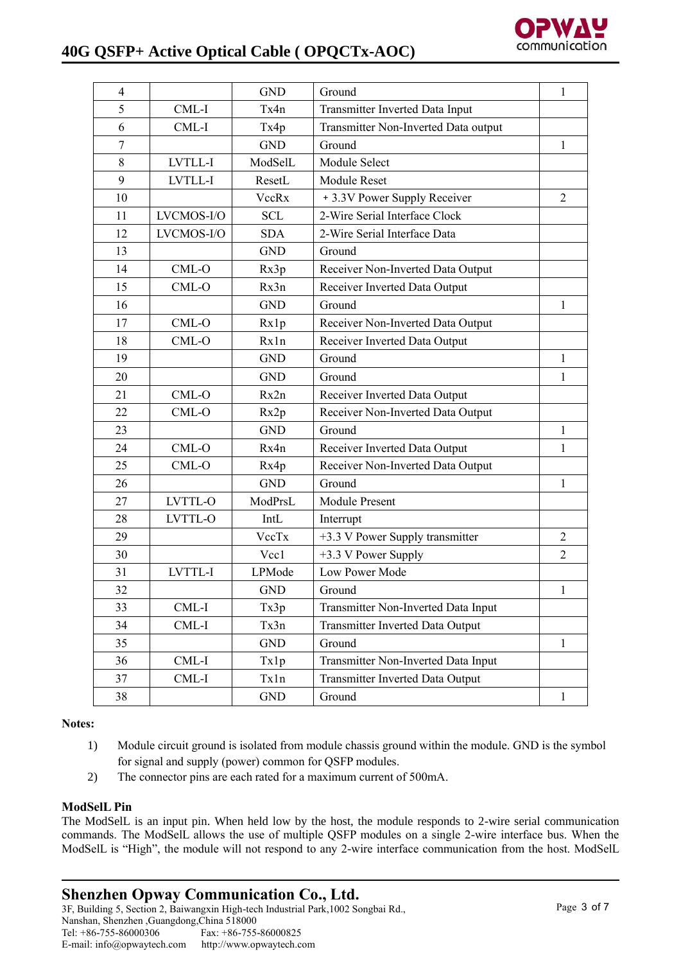# **40G QSFP+ Active Optical Cable ( OPQCTx-AOC)**



| $\overline{4}$ |            | <b>GND</b> | Ground                                  | 1              |
|----------------|------------|------------|-----------------------------------------|----------------|
| 5              | CML-I      | Tx4n       | Transmitter Inverted Data Input         |                |
| 6              | CML-I      | Tx4p       | Transmitter Non-Inverted Data output    |                |
| 7              |            | <b>GND</b> | Ground                                  | 1              |
| 8              | LVTLL-I    | ModSelL    | Module Select                           |                |
| 9              | LVTLL-I    | ResetL     | <b>Module Reset</b>                     |                |
| 10             |            | VccRx      | + 3.3V Power Supply Receiver            | $\overline{2}$ |
| 11             | LVCMOS-I/O | <b>SCL</b> | 2-Wire Serial Interface Clock           |                |
| 12             | LVCMOS-I/O | <b>SDA</b> | 2-Wire Serial Interface Data            |                |
| 13             |            | <b>GND</b> | Ground                                  |                |
| 14             | CML-O      | Rx3p       | Receiver Non-Inverted Data Output       |                |
| 15             | CML-O      | Rx3n       | Receiver Inverted Data Output           |                |
| 16             |            | <b>GND</b> | Ground                                  | 1              |
| 17             | CML-O      | Rx1p       | Receiver Non-Inverted Data Output       |                |
| 18             | CML-O      | Rx1n       | Receiver Inverted Data Output           |                |
| 19             |            | <b>GND</b> | Ground                                  | 1              |
| 20             |            | <b>GND</b> | Ground                                  | 1              |
| 21             | CML-O      | Rx2n       | Receiver Inverted Data Output           |                |
| 22             | CML-O      | Rx2p       | Receiver Non-Inverted Data Output       |                |
| 23             |            | <b>GND</b> | Ground                                  | $\mathbf{1}$   |
| 24             | CML-O      | Rx4n       | Receiver Inverted Data Output           | 1              |
| 25             | CML-O      | Rx4p       | Receiver Non-Inverted Data Output       |                |
| 26             |            | <b>GND</b> | Ground                                  | 1              |
| 27             | LVTTL-O    | ModPrsL    | <b>Module Present</b>                   |                |
| 28             | LVTTL-O    | IntL       | Interrupt                               |                |
| 29             |            | VccTx      | +3.3 V Power Supply transmitter         | $\overline{2}$ |
| 30             |            | Vcc1       | +3.3 V Power Supply                     | $\overline{2}$ |
| 31             | LVTTL-I    | LPMode     | Low Power Mode                          |                |
| 32             |            | <b>GND</b> | Ground                                  | 1              |
| 33             | CML-I      | Tx3p       | Transmitter Non-Inverted Data Input     |                |
| 34             | CML-I      | Tx3n       | <b>Transmitter Inverted Data Output</b> |                |
| 35             |            | <b>GND</b> | Ground                                  | $\mathbf{1}$   |
| 36             | CML-I      | Tx1p       | Transmitter Non-Inverted Data Input     |                |
| 37             | CML-I      | Txln       | Transmitter Inverted Data Output        |                |
| 38             |            | <b>GND</b> | Ground                                  | $\mathbf{1}$   |

**Notes:**

- 1) Module circuit ground is isolated from module chassis ground within the module. GND is the symbol for signal and supply (power) common for QSFP modules.
- 2) The connector pins are each rated for a maximum current of 500mA.

#### **ModSelL Pin**

The ModSelL is an input pin. When held low by the host, the module responds to 2-wire serial communication commands. The ModSelL allows the use of multiple QSFP modules on a single 2-wire interface bus. When the ModSelL is "High", the module will not respond to any 2-wire interface communication from the host. ModSelL

**Shenzhen Opway Communication Co., Ltd.**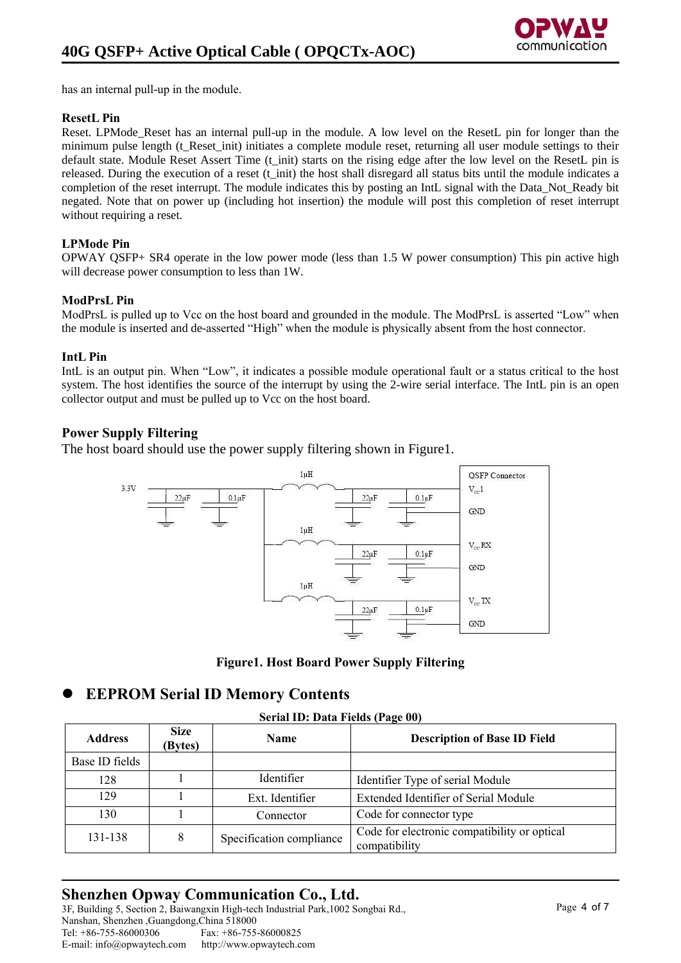has an internal pull-up in the module.

#### **ResetL Pin**

Reset. LPMode Reset has an internal pull-up in the module. A low level on the ResetL pin for longer than the minimum pulse length (t Reset init) initiates a complete module reset, returning all user module settings to their default state. Module Reset Assert Time (t\_init) starts on the rising edge after the low level on the ResetL pin is released. During the execution of a reset (t init) the host shall disregard all status bits until the module indicates a completion of the reset interrupt. The module indicates this by posting an IntL signal with the Data\_Not\_Ready bit negated. Note that on power up (including hot insertion) the module will post this completion of reset interrupt without requiring a reset.

### **LPMode Pin**

OPWAY QSFP+ SR4 operate in the low power mode (less than 1.5 W power consumption) This pin active high will decrease power consumption to less than 1W.

#### **ModPrsL Pin**

ModPrsL is pulled up to Vcc on the host board and grounded in the module. The ModPrsL is asserted "Low" when the module is inserted and de-asserted "High" when the module is physically absent from the host connector.

#### **IntL Pin**

IntL is an output pin. When "Low", it indicates a possible module operational fault or a status critical to the host system. The host identifies the source of the interrupt by using the 2-wire serial interface. The IntL pin is an open collector output and must be pulled up to Vcc on the host board.

### **Power Supply Filtering**

The host board should use the power supply filtering shown in Figure1.





### ⚫ **EEPROM Serial ID Memory Contents**

**Serial ID: Data Fields (Page 00)**

| <b>Address</b> | <b>Size</b><br>(Bytes) | <b>Name</b>              | <b>Description of Base ID Field</b>                           |
|----------------|------------------------|--------------------------|---------------------------------------------------------------|
| Base ID fields |                        |                          |                                                               |
| 128            |                        | Identifier               | Identifier Type of serial Module                              |
| 129            |                        | Ext. Identifier          | Extended Identifier of Serial Module                          |
| 130            |                        | Connector                | Code for connector type                                       |
| 131-138        | 8                      | Specification compliance | Code for electronic compatibility or optical<br>compatibility |

## **Shenzhen Opway Communication Co., Ltd.**

3F, Building 5, Section 2, Baiwangxin High-tech Industrial Park,1002 Songbai Rd., Nanshan, Shenzhen ,Guangdong,China 518000 Tel: +86-755-86000306 Fax: +86-755-86000825 E-mail: info@opwaytech.com http://www.opwaytech.com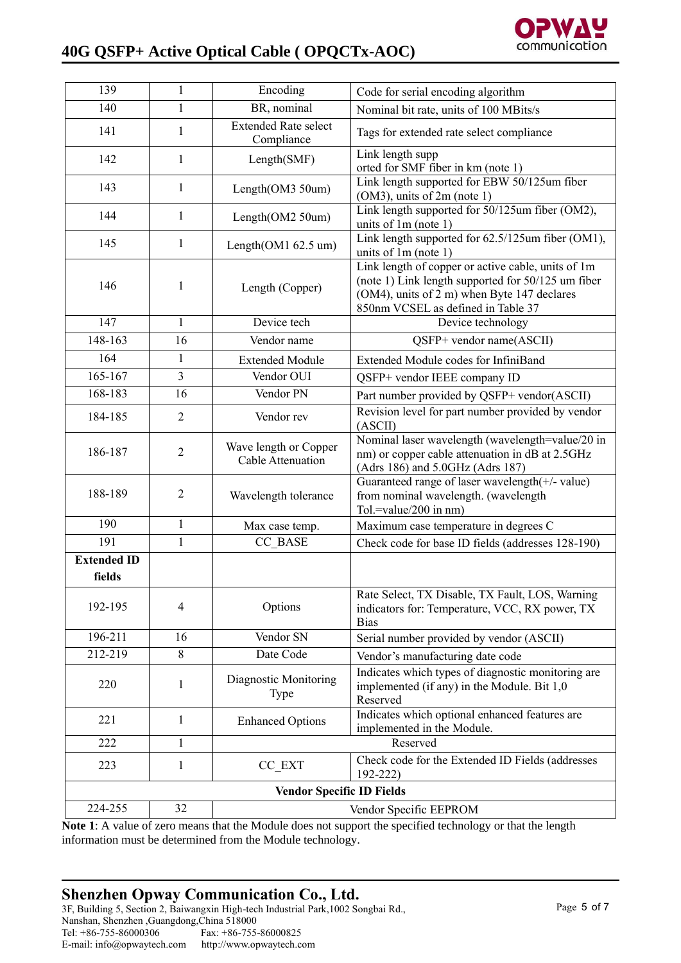# **40G QSFP+ Active Optical Cable ( OPQCTx-AOC)**



| 139                          | $\mathbf{1}$   | Encoding                                   | Code for serial encoding algorithm                                                                                                                                                            |
|------------------------------|----------------|--------------------------------------------|-----------------------------------------------------------------------------------------------------------------------------------------------------------------------------------------------|
| 140                          | $\mathbf{1}$   | BR, nominal                                | Nominal bit rate, units of 100 MBits/s                                                                                                                                                        |
| 141                          | 1              | <b>Extended Rate select</b><br>Compliance  | Tags for extended rate select compliance                                                                                                                                                      |
| 142                          | 1              | Length(SMF)                                | Link length supp<br>orted for SMF fiber in km (note 1)                                                                                                                                        |
| 143                          | $\mathbf{1}$   | Length(OM3 50um)                           | Link length supported for EBW 50/125um fiber<br>$(OM3)$ , units of $2m$ (note 1)                                                                                                              |
| 144                          | $\mathbf{1}$   | Length(OM2 50um)                           | Link length supported for 50/125um fiber (OM2),<br>units of $1m$ (note $1$ )                                                                                                                  |
| 145                          | $\mathbf{1}$   | Length $(OM1 62.5$ um $)$                  | Link length supported for 62.5/125um fiber (OM1),<br>units of $1m$ (note $1$ )                                                                                                                |
| 146                          | 1              | Length (Copper)                            | Link length of copper or active cable, units of 1m<br>(note 1) Link length supported for 50/125 um fiber<br>(OM4), units of 2 m) when Byte 147 declares<br>850nm VCSEL as defined in Table 37 |
| 147                          | $\mathbf{1}$   | Device tech                                | Device technology                                                                                                                                                                             |
| 148-163                      | 16             | Vendor name                                | QSFP+ vendor name(ASCII)                                                                                                                                                                      |
| 164                          | $\mathbf{1}$   | <b>Extended Module</b>                     | Extended Module codes for InfiniBand                                                                                                                                                          |
| 165-167                      | 3              | Vendor OUI                                 | QSFP+ vendor IEEE company ID                                                                                                                                                                  |
| 168-183                      | 16             | Vendor PN                                  | Part number provided by QSFP+ vendor(ASCII)                                                                                                                                                   |
| 184-185                      | $\overline{2}$ | Vendor rev                                 | Revision level for part number provided by vendor<br>(ASCII)                                                                                                                                  |
| 186-187                      | $\overline{2}$ | Wave length or Copper<br>Cable Attenuation | Nominal laser wavelength (wavelength=value/20 in<br>nm) or copper cable attenuation in dB at 2.5GHz<br>(Adrs 186) and 5.0GHz (Adrs 187)                                                       |
| 188-189                      | $\overline{2}$ | Wavelength tolerance                       | Guaranteed range of laser wavelength(+/- value)<br>from nominal wavelength. (wavelength<br>Tol.=value/200 in $nm$ )                                                                           |
| 190                          | $\mathbf{1}$   | Max case temp.                             | Maximum case temperature in degrees C                                                                                                                                                         |
| 191                          | $\mathbf{1}$   | CC BASE                                    | Check code for base ID fields (addresses 128-190)                                                                                                                                             |
| <b>Extended ID</b><br>fields |                |                                            |                                                                                                                                                                                               |
| 192-195                      | 4              | Options                                    | Rate Select, TX Disable, TX Fault, LOS, Warning<br>indicators for: Temperature, VCC, RX power, TX<br><b>Bias</b>                                                                              |
| 196-211                      | 16             | Vendor SN                                  | Serial number provided by vendor (ASCII)                                                                                                                                                      |
| 212-219                      | 8              | Date Code                                  | Vendor's manufacturing date code                                                                                                                                                              |
| 220                          | 1              | Diagnostic Monitoring<br><b>Type</b>       | Indicates which types of diagnostic monitoring are<br>implemented (if any) in the Module. Bit 1,0<br>Reserved                                                                                 |
| 221                          | $\mathbf{1}$   | <b>Enhanced Options</b>                    | Indicates which optional enhanced features are<br>implemented in the Module.                                                                                                                  |
| 222                          | $\mathbf{1}$   |                                            | Reserved                                                                                                                                                                                      |
| 223                          | 1              | CC_EXT                                     | Check code for the Extended ID Fields (addresses<br>$192 - 222$                                                                                                                               |
|                              |                | <b>Vendor Specific ID Fields</b>           |                                                                                                                                                                                               |
| 224-255                      | 32             |                                            | Vendor Specific EEPROM                                                                                                                                                                        |

**Note 1**: A value of zero means that the Module does not support the specified technology or that the length information must be determined from the Module technology.

### **Shenzhen Opway Communication Co., Ltd.**

3F, Building 5, Section 2, Baiwangxin High-tech Industrial Park,1002 Songbai Rd., Nanshan, Shenzhen ,Guangdong,China 518000 Fax: +86-755-86000825 E-mail: info@opwaytech.com http://www.opwaytech.com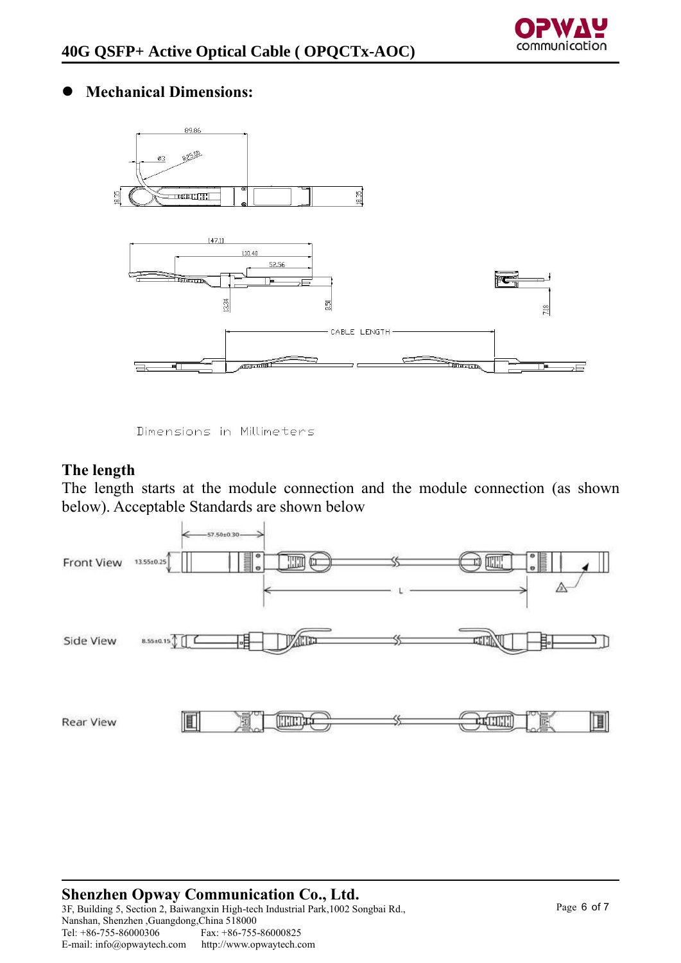## ⚫ **Mechanical Dimensions:**



Dimensions in Millimeters

## **The length**

The length starts at the module connection and the module connection (as shown below). Acceptable Standards are shown below



#### **Shenzhen Opway Communication Co., Ltd.** 3F, Building 5, Section 2, Baiwangxin High-tech Industrial Park,1002 Songbai Rd., Nanshan, Shenzhen ,Guangdong,China 518000 Fax: +86-755-86000825<br>http://www.opwaytech.com E-mail: info@opwaytech.com